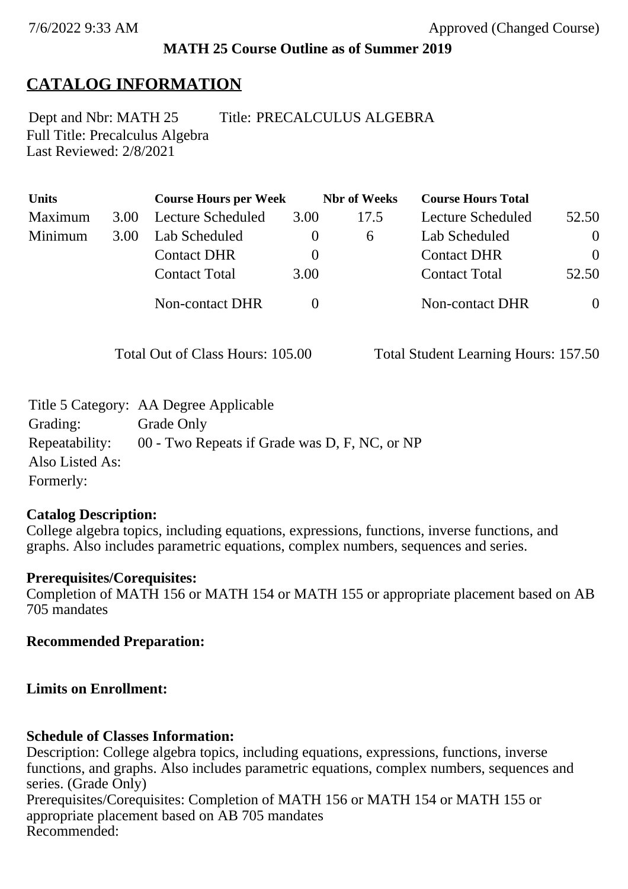## **MATH 25 Course Outline as of Summer 2019**

# **CATALOG INFORMATION**

Full Title: Precalculus Algebra Last Reviewed: 2/8/2021 Dept and Nbr: MATH 25 Title: PRECALCULUS ALGEBRA

| <b>Units</b> |      | <b>Course Hours per Week</b> |          | <b>Nbr</b> of Weeks | <b>Course Hours Total</b> |                |
|--------------|------|------------------------------|----------|---------------------|---------------------------|----------------|
| Maximum      | 3.00 | Lecture Scheduled            | 3.00     | 17.5                | Lecture Scheduled         | 52.50          |
| Minimum      | 3.00 | Lab Scheduled                | $\theta$ | $\sigma$            | Lab Scheduled             | $\theta$       |
|              |      | <b>Contact DHR</b>           | $\theta$ |                     | <b>Contact DHR</b>        | $\Omega$       |
|              |      | <b>Contact Total</b>         | 3.00     |                     | <b>Contact Total</b>      | 52.50          |
|              |      | Non-contact DHR              |          |                     | <b>Non-contact DHR</b>    | $\overline{0}$ |

Total Out of Class Hours: 105.00 Total Student Learning Hours: 157.50

|                 | Title 5 Category: AA Degree Applicable        |
|-----------------|-----------------------------------------------|
| Grading:        | Grade Only                                    |
| Repeatability:  | 00 - Two Repeats if Grade was D, F, NC, or NP |
| Also Listed As: |                                               |
| Formerly:       |                                               |

#### **Catalog Description:**

College algebra topics, including equations, expressions, functions, inverse functions, and graphs. Also includes parametric equations, complex numbers, sequences and series.

#### **Prerequisites/Corequisites:**

Completion of MATH 156 or MATH 154 or MATH 155 or appropriate placement based on AB 705 mandates

#### **Recommended Preparation:**

## **Limits on Enrollment:**

## **Schedule of Classes Information:**

Description: College algebra topics, including equations, expressions, functions, inverse functions, and graphs. Also includes parametric equations, complex numbers, sequences and series. (Grade Only) Prerequisites/Corequisites: Completion of MATH 156 or MATH 154 or MATH 155 or appropriate placement based on AB 705 mandates Recommended: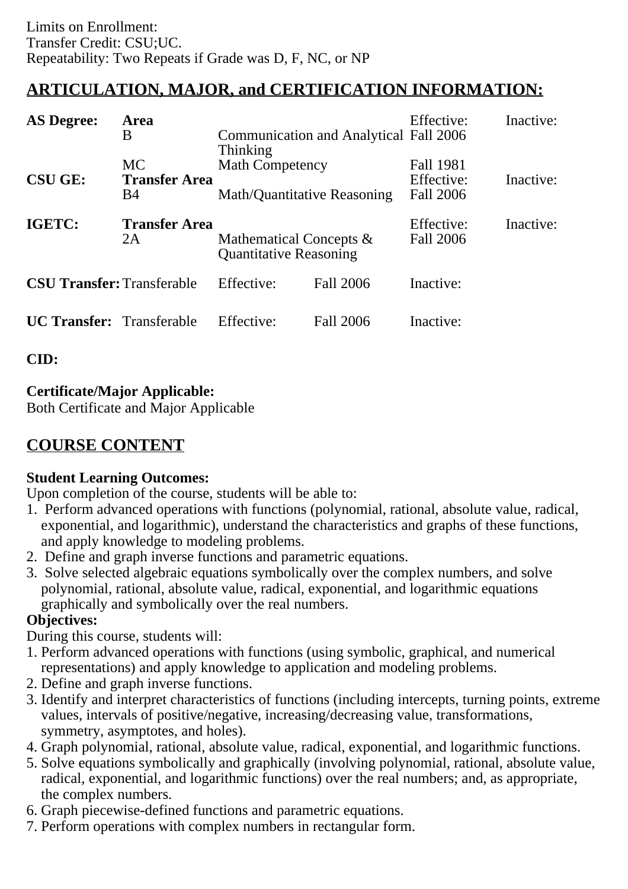## **ARTICULATION, MAJOR, and CERTIFICATION INFORMATION:**

| <b>AS Degree:</b><br><b>Area</b><br>B |                                                 | Communication and Analytical Fall 2006<br><b>Thinking</b>   |           | Effective:                                  | Inactive: |
|---------------------------------------|-------------------------------------------------|-------------------------------------------------------------|-----------|---------------------------------------------|-----------|
| <b>CSU GE:</b>                        | <b>MC</b><br><b>Transfer Area</b><br><b>B</b> 4 | <b>Math Competency</b><br>Math/Quantitative Reasoning       |           | Fall 1981<br>Effective:<br><b>Fall 2006</b> | Inactive: |
| IGETC:                                | <b>Transfer Area</b><br>2A                      | Mathematical Concepts $\&$<br><b>Quantitative Reasoning</b> |           | Effective:<br><b>Fall 2006</b>              | Inactive: |
| <b>CSU Transfer:</b> Transferable     |                                                 | Effective:                                                  | Fall 2006 | Inactive:                                   |           |
| <b>UC Transfer:</b> Transferable      |                                                 | Effective:                                                  | Fall 2006 | Inactive:                                   |           |

**CID:**

### **Certificate/Major Applicable:**

[Both Certificate and Major Applicable](SR_ClassCheck.aspx?CourseKey=MATH25)

# **COURSE CONTENT**

#### **Student Learning Outcomes:**

Upon completion of the course, students will be able to:

- 1. Perform advanced operations with functions (polynomial, rational, absolute value, radical, exponential, and logarithmic), understand the characteristics and graphs of these functions, and apply knowledge to modeling problems.
- 2. Define and graph inverse functions and parametric equations.
- 3. Solve selected algebraic equations symbolically over the complex numbers, and solve polynomial, rational, absolute value, radical, exponential, and logarithmic equations graphically and symbolically over the real numbers.

#### **Objectives:**

During this course, students will:

- 1. Perform advanced operations with functions (using symbolic, graphical, and numerical representations) and apply knowledge to application and modeling problems.
- 2. Define and graph inverse functions.
- 3. Identify and interpret characteristics of functions (including intercepts, turning points, extreme values, intervals of positive/negative, increasing/decreasing value, transformations, symmetry, asymptotes, and holes).
- 4. Graph polynomial, rational, absolute value, radical, exponential, and logarithmic functions.
- 5. Solve equations symbolically and graphically (involving polynomial, rational, absolute value, radical, exponential, and logarithmic functions) over the real numbers; and, as appropriate, the complex numbers.
- 6. Graph piecewise-defined functions and parametric equations.
- 7. Perform operations with complex numbers in rectangular form.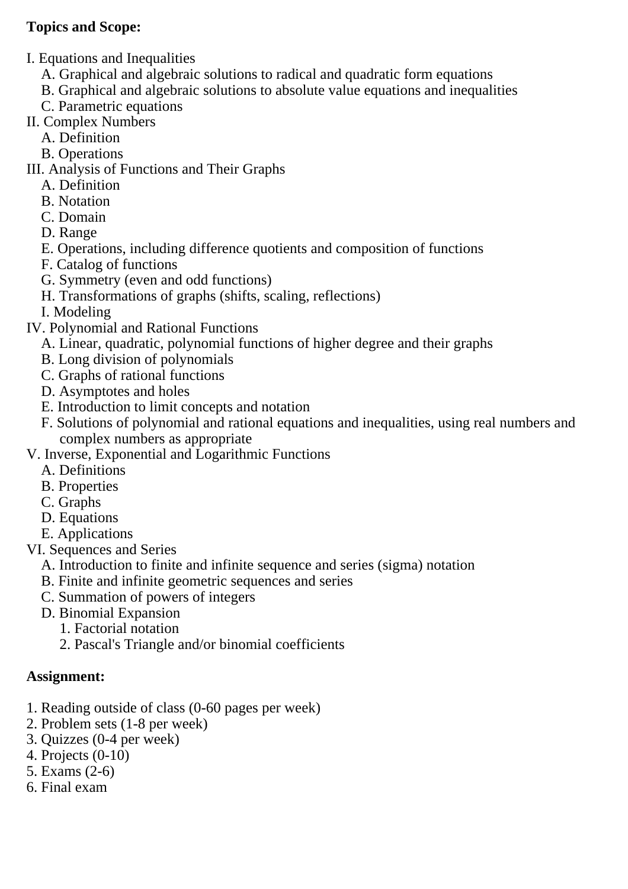#### **Topics and Scope:**

- I. Equations and Inequalities
	- A. Graphical and algebraic solutions to radical and quadratic form equations
	- B. Graphical and algebraic solutions to absolute value equations and inequalities
	- C. Parametric equations
- II. Complex Numbers
	- A. Definition
	- B. Operations
- III. Analysis of Functions and Their Graphs
	- A. Definition
	- B. Notation
	- C. Domain
	- D. Range
	- E. Operations, including difference quotients and composition of functions
	- F. Catalog of functions
	- G. Symmetry (even and odd functions)
	- H. Transformations of graphs (shifts, scaling, reflections)
	- I. Modeling
- IV. Polynomial and Rational Functions
	- A. Linear, quadratic, polynomial functions of higher degree and their graphs
	- B. Long division of polynomials
	- C. Graphs of rational functions
	- D. Asymptotes and holes
	- E. Introduction to limit concepts and notation
	- F. Solutions of polynomial and rational equations and inequalities, using real numbers and complex numbers as appropriate
- V. Inverse, Exponential and Logarithmic Functions
	- A. Definitions
	- B. Properties
	- C. Graphs
	- D. Equations
	- E. Applications
- VI. Sequences and Series
	- A. Introduction to finite and infinite sequence and series (sigma) notation
	- B. Finite and infinite geometric sequences and series
	- C. Summation of powers of integers
	- D. Binomial Expansion
		- 1. Factorial notation
		- 2. Pascal's Triangle and/or binomial coefficients

#### **Assignment:**

- 1. Reading outside of class (0-60 pages per week)
- 2. Problem sets (1-8 per week)
- 3. Quizzes (0-4 per week)
- 4. Projects (0-10)
- 5. Exams (2-6)
- 6. Final exam